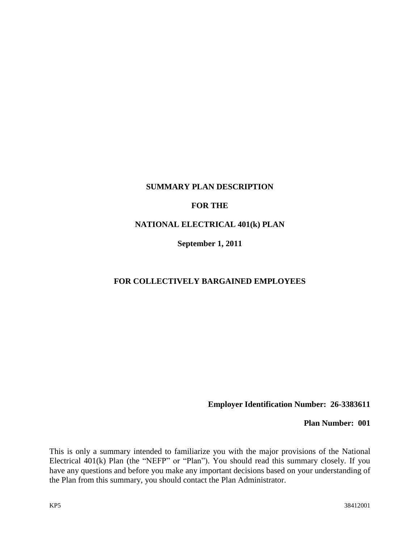### **SUMMARY PLAN DESCRIPTION**

### **FOR THE**

### **NATIONAL ELECTRICAL 401(k) PLAN**

**September 1, 2011**

### **FOR COLLECTIVELY BARGAINED EMPLOYEES**

**Employer Identification Number: 26-3383611**

**Plan Number: 001**

This is only a summary intended to familiarize you with the major provisions of the National Electrical 401(k) Plan (the "NEFP" or "Plan"). You should read this summary closely. If you have any questions and before you make any important decisions based on your understanding of the Plan from this summary, you should contact the Plan Administrator.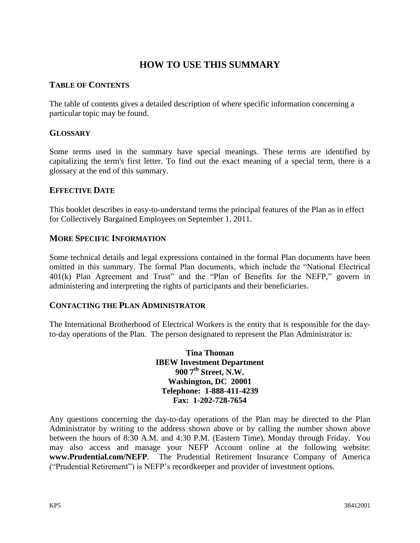## **HOW TO USE THIS SUMMARY**

### **TABLE OF CONTENTS**

The table of contents gives a detailed description of where specific information concerning a particular topic may be found.

### **GLOSSARY**

Some terms used in the summary have special meanings. These terms are identified by capitalizing the term's first letter. To find out the exact meaning of a special term, there is a glossary at the end of this summary.

### **EFFECTIVE DATE**

This booklet describes in easy-to-understand terms the principal features of the Plan as in effect for Collectively Bargained Employees on September 1, 2011.

### **MORE SPECIFIC INFORMATION**

Some technical details and legal expressions contained in the formal Plan documents have been omitted in this summary. The formal Plan documents, which include the "National Electrical 401(k) Plan Agreement and Trust" and the "Plan of Benefits for the NEFP," govern in administering and interpreting the rights of participants and their beneficiaries.

### **CONTACTING THE PLAN ADMINISTRATOR**

The International Brotherhood of Electrical Workers is the entity that is responsible for the dayto-day operations of the Plan. The person designated to represent the Plan Administrator is:

> **Tina Thoman IBEW Investment Department 900 7th Street, N.W. Washington, DC 20001 Telephone: 1-888-411-4239 Fax: 1-202-728-7654**

Any questions concerning the day-to-day operations of the Plan may be directed to the Plan Administrator by writing to the address shown above or by calling the number shown above between the hours of 8:30 A.M. and 4:30 P.M. (Eastern Time), Monday through Friday. You may also access and manage your NEFP Account online at the following website: **www.Prudential.com/NEFP**. The Prudential Retirement Insurance Company of America ("Prudential Retirement") is NEFP's recordkeeper and provider of investment options.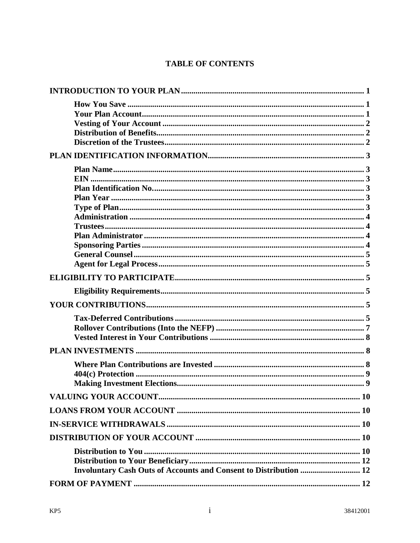## **TABLE OF CONTENTS**

| Involuntary Cash Outs of Accounts and Consent to Distribution  12 |  |
|-------------------------------------------------------------------|--|
|                                                                   |  |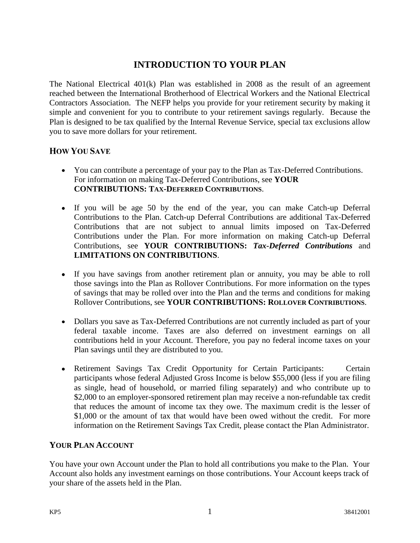# **INTRODUCTION TO YOUR PLAN**

<span id="page-4-0"></span>The National Electrical 401(k) Plan was established in 2008 as the result of an agreement reached between the International Brotherhood of Electrical Workers and the National Electrical Contractors Association. The NEFP helps you provide for your retirement security by making it simple and convenient for you to contribute to your retirement savings regularly. Because the Plan is designed to be tax qualified by the Internal Revenue Service, special tax exclusions allow you to save more dollars for your retirement.

## <span id="page-4-1"></span>**HOW YOU SAVE**

- You can contribute a percentage of your pay to the Plan as Tax-Deferred Contributions. For information on making Tax-Deferred Contributions, see **YOUR CONTRIBUTIONS: TAX-DEFERRED CONTRIBUTIONS**.
- If you will be age 50 by the end of the year, you can make Catch-up Deferral Contributions to the Plan. Catch-up Deferral Contributions are additional Tax-Deferred Contributions that are not subject to annual limits imposed on Tax-Deferred Contributions under the Plan. For more information on making Catch-up Deferral Contributions, see **YOUR CONTRIBUTIONS:** *Tax-Deferred Contributions* and **LIMITATIONS ON CONTRIBUTIONS**.
- If you have savings from another retirement plan or annuity, you may be able to roll those savings into the Plan as Rollover Contributions. For more information on the types of savings that may be rolled over into the Plan and the terms and conditions for making Rollover Contributions, see **YOUR CONTRIBUTIONS: ROLLOVER CONTRIBUTIONS**.
- Dollars you save as Tax-Deferred Contributions are not currently included as part of your federal taxable income. Taxes are also deferred on investment earnings on all contributions held in your Account. Therefore, you pay no federal income taxes on your Plan savings until they are distributed to you.
- Retirement Savings Tax Credit Opportunity for Certain Participants: Certain participants whose federal Adjusted Gross Income is below \$55,000 (less if you are filing as single, head of household, or married filing separately) and who contribute up to \$2,000 to an employer-sponsored retirement plan may receive a non-refundable tax credit that reduces the amount of income tax they owe. The maximum credit is the lesser of \$1,000 or the amount of tax that would have been owed without the credit. For more information on the Retirement Savings Tax Credit, please contact the Plan Administrator.

## <span id="page-4-2"></span>**YOUR PLAN ACCOUNT**

You have your own Account under the Plan to hold all contributions you make to the Plan. Your Account also holds any investment earnings on those contributions. Your Account keeps track of your share of the assets held in the Plan.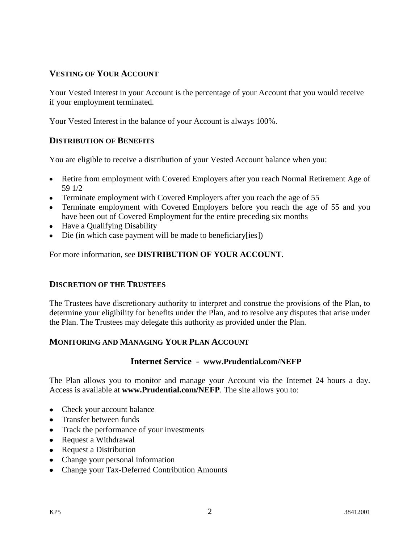## <span id="page-5-0"></span>**VESTING OF YOUR ACCOUNT**

Your Vested Interest in your Account is the percentage of your Account that you would receive if your employment terminated.

Your Vested Interest in the balance of your Account is always 100%.

### <span id="page-5-1"></span>**DISTRIBUTION OF BENEFITS**

You are eligible to receive a distribution of your Vested Account balance when you:

- Retire from employment with Covered Employers after you reach Normal Retirement Age of 59 1/2
- Terminate employment with Covered Employers after you reach the age of 55
- Terminate employment with Covered Employers before you reach the age of 55 and you have been out of Covered Employment for the entire preceding six months
- Have a Qualifying Disability
- Die (in which case payment will be made to beneficiary[ies])

For more information, see **DISTRIBUTION OF YOUR ACCOUNT**.

### <span id="page-5-2"></span>**DISCRETION OF THE TRUSTEES**

The Trustees have discretionary authority to interpret and construe the provisions of the Plan, to determine your eligibility for benefits under the Plan, and to resolve any disputes that arise under the Plan. The Trustees may delegate this authority as provided under the Plan.

### **MONITORING AND MANAGING YOUR PLAN ACCOUNT**

### **Internet Service - www.Prudential.com/NEFP**

The Plan allows you to monitor and manage your Account via the Internet 24 hours a day. Access is available at **www.Prudential.com/NEFP**. The site allows you to:

- Check your account balance
- Transfer between funds
- Track the performance of your investments
- Request a Withdrawal
- Request a Distribution
- Change your personal information
- Change your Tax-Deferred Contribution Amounts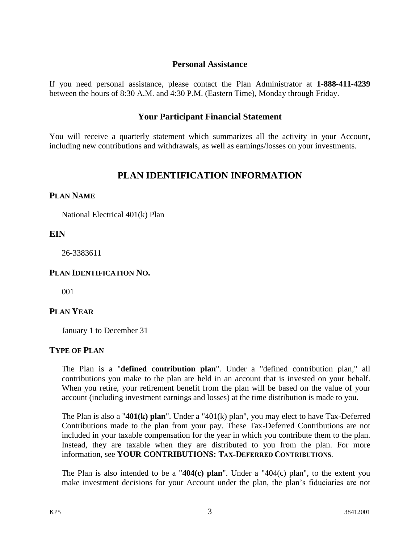### **Personal Assistance**

If you need personal assistance, please contact the Plan Administrator at **1-888-411-4239** between the hours of 8:30 A.M. and 4:30 P.M. (Eastern Time), Monday through Friday.

### **Your Participant Financial Statement**

You will receive a quarterly statement which summarizes all the activity in your Account*,*  including new contributions and withdrawals, as well as earnings/losses on your investments.

## **PLAN IDENTIFICATION INFORMATION**

### <span id="page-6-1"></span><span id="page-6-0"></span>**PLAN NAME**

National Electrical 401(k) Plan

## <span id="page-6-2"></span>**EIN**

26-3383611

### <span id="page-6-3"></span>**PLAN IDENTIFICATION NO.**

001

## <span id="page-6-4"></span>**PLAN YEAR**

January 1 to December 31

### <span id="page-6-5"></span>**TYPE OF PLAN**

The Plan is a "**defined contribution plan**". Under a "defined contribution plan," all contributions you make to the plan are held in an account that is invested on your behalf. When you retire, your retirement benefit from the plan will be based on the value of your account (including investment earnings and losses) at the time distribution is made to you.

The Plan is also a "**401(k) plan**". Under a "401(k) plan", you may elect to have Tax-Deferred Contributions made to the plan from your pay. These Tax-Deferred Contributions are not included in your taxable compensation for the year in which you contribute them to the plan. Instead, they are taxable when they are distributed to you from the plan. For more information, see **YOUR CONTRIBUTIONS: TAX-DEFERRED CONTRIBUTIONS.** 

The Plan is also intended to be a "**404(c) plan**". Under a "404(c) plan", to the extent you make investment decisions for your Account under the plan, the plan's fiduciaries are not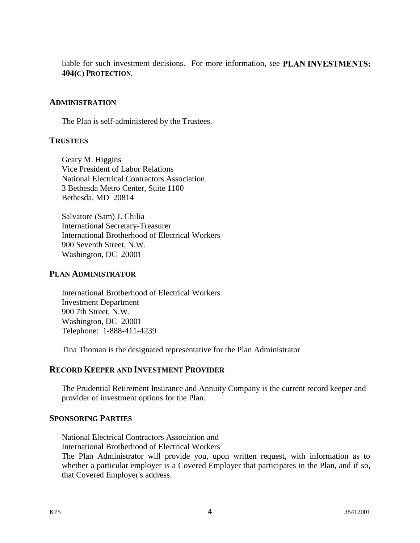liable for such investment decisions. For more information, see PLAN INVESTMENTS: 404(C) PROTECTION.

### <span id="page-7-0"></span>**ADMINISTRATION**

The Plan is self-administered by the Trustees.

### <span id="page-7-1"></span>**TRUSTEES**

Geary M. Higgins Vice President of Labor Relations National Electrical Contractors Association 3 Bethesda Metro Center, Suite 1100 Bethesda, MD 20814

Salvatore (Sam) J. Chilia International Secretary-Treasurer International Brotherhood of Electrical Workers 900 Seventh Street, N.W. Washington, DC 20001

### <span id="page-7-2"></span>**PLAN ADMINISTRATOR**

International Brotherhood of Electrical Workers Investment Department 900 7th Street, N.W. Washington, DC 20001 Telephone: 1-888-411-4239

Tina Thoman is the designated representative for the Plan Administrator

## **RECORD KEEPER AND INVESTMENT PROVIDER**

The Prudential Retirement Insurance and Annuity Company is the current record keeper and provider of investment options for the Plan.

### <span id="page-7-3"></span>**SPONSORING PARTIES**

National Electrical Contractors Association and International Brotherhood of Electrical Workers The Plan Administrator will provide you, upon written request, with information as to

whether a particular employer is a Covered Employer that participates in the Plan, and if so, that Covered Employer's address.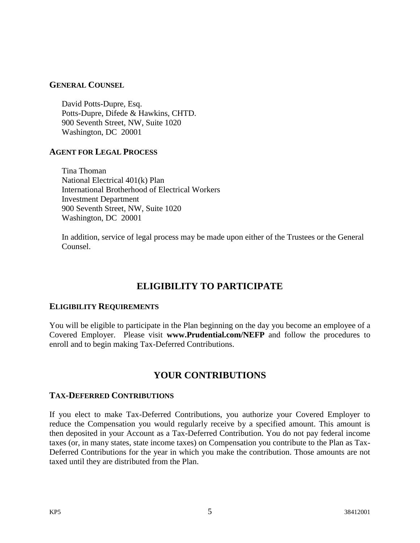### <span id="page-8-0"></span>**GENERAL COUNSEL**

David Potts-Dupre, Esq. Potts-Dupre, Difede & Hawkins, CHTD. 900 Seventh Street, NW, Suite 1020 Washington, DC 20001

## <span id="page-8-1"></span>**AGENT FOR LEGAL PROCESS**

Tina Thoman National Electrical 401(k) Plan International Brotherhood of Electrical Workers Investment Department 900 Seventh Street, NW, Suite 1020 Washington, DC 20001

In addition, service of legal process may be made upon either of the Trustees or the General Counsel.

# **ELIGIBILITY TO PARTICIPATE**

### <span id="page-8-3"></span><span id="page-8-2"></span>**ELIGIBILITY REQUIREMENTS**

You will be eligible to participate in the Plan beginning on the day you become an employee of a Covered Employer. Please visit **www.Prudential.com/NEFP** and follow the procedures to enroll and to begin making Tax-Deferred Contributions.

## **YOUR CONTRIBUTIONS**

### <span id="page-8-5"></span><span id="page-8-4"></span>**TAX-DEFERRED CONTRIBUTIONS**

If you elect to make Tax-Deferred Contributions, you authorize your Covered Employer to reduce the Compensation you would regularly receive by a specified amount. This amount is then deposited in your Account as a Tax-Deferred Contribution. You do not pay federal income taxes (or, in many states, state income taxes) on Compensation you contribute to the Plan as Tax-Deferred Contributions for the year in which you make the contribution. Those amounts are not taxed until they are distributed from the Plan.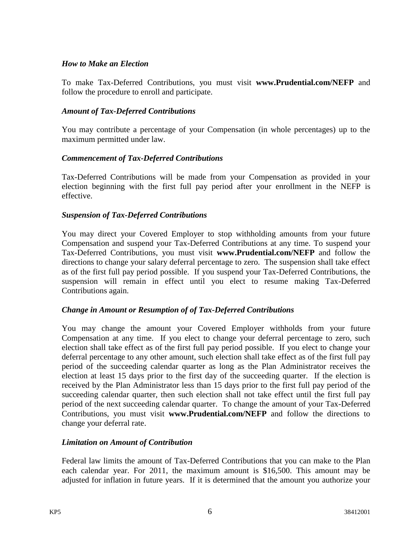### *How to Make an Election*

To make Tax-Deferred Contributions, you must visit **www.Prudential.com/NEFP** and follow the procedure to enroll and participate.

### *Amount of Tax-Deferred Contributions*

You may contribute a percentage of your Compensation (in whole percentages) up to the maximum permitted under law.

## *Commencement of Tax-Deferred Contributions*

Tax-Deferred Contributions will be made from your Compensation as provided in your election beginning with the first full pay period after your enrollment in the NEFP is effective.

## *Suspension of Tax-Deferred Contributions*

You may direct your Covered Employer to stop withholding amounts from your future Compensation and suspend your Tax-Deferred Contributions at any time. To suspend your Tax-Deferred Contributions, you must visit **www.Prudential.com/NEFP** and follow the directions to change your salary deferral percentage to zero. The suspension shall take effect as of the first full pay period possible. If you suspend your Tax-Deferred Contributions, the suspension will remain in effect until you elect to resume making Tax-Deferred Contributions again.

### *Change in Amount or Resumption of of Tax-Deferred Contributions*

You may change the amount your Covered Employer withholds from your future Compensation at any time. If you elect to change your deferral percentage to zero, such election shall take effect as of the first full pay period possible. If you elect to change your deferral percentage to any other amount, such election shall take effect as of the first full pay period of the succeeding calendar quarter as long as the Plan Administrator receives the election at least 15 days prior to the first day of the succeeding quarter. If the election is received by the Plan Administrator less than 15 days prior to the first full pay period of the succeeding calendar quarter, then such election shall not take effect until the first full pay period of the next succeeding calendar quarter. To change the amount of your Tax-Deferred Contributions, you must visit **www.Prudential.com/NEFP** and follow the directions to change your deferral rate.

### *Limitation on Amount of Contribution*

Federal law limits the amount of Tax-Deferred Contributions that you can make to the Plan each calendar year. For 2011, the maximum amount is \$16,500. This amount may be adjusted for inflation in future years. If it is determined that the amount you authorize your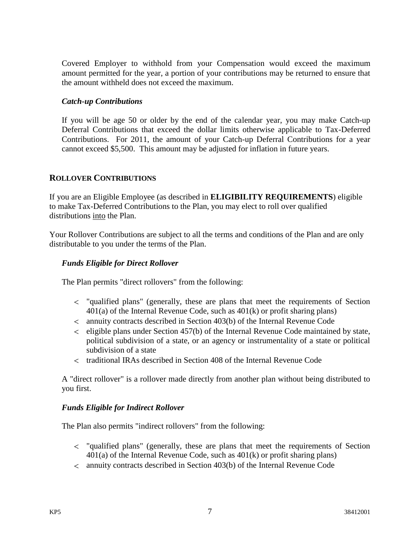Covered Employer to withhold from your Compensation would exceed the maximum amount permitted for the year, a portion of your contributions may be returned to ensure that the amount withheld does not exceed the maximum.

### *Catch-up Contributions*

If you will be age 50 or older by the end of the calendar year, you may make Catch-up Deferral Contributions that exceed the dollar limits otherwise applicable to Tax-Deferred Contributions. For 2011, the amount of your Catch-up Deferral Contributions for a year cannot exceed \$5,500. This amount may be adjusted for inflation in future years.

## <span id="page-10-0"></span>**ROLLOVER CONTRIBUTIONS**

If you are an Eligible Employee (as described in **ELIGIBILITY REQUIREMENTS**) eligible to make Tax-Deferred Contributions to the Plan, you may elect to roll over qualified distributions into the Plan.

Your Rollover Contributions are subject to all the terms and conditions of the Plan and are only distributable to you under the terms of the Plan.

## *Funds Eligible for Direct Rollover*

The Plan permits "direct rollovers" from the following:

- "qualified plans" (generally, these are plans that meet the requirements of Section  $401(a)$  of the Internal Revenue Code, such as  $401(k)$  or profit sharing plans)
- annuity contracts described in Section 403(b) of the Internal Revenue Code
- $\epsilon$  eligible plans under Section 457(b) of the Internal Revenue Code maintained by state, political subdivision of a state, or an agency or instrumentality of a state or political subdivision of a state
- traditional IRAs described in Section 408 of the Internal Revenue Code

A "direct rollover" is a rollover made directly from another plan without being distributed to you first.

### *Funds Eligible for Indirect Rollover*

The Plan also permits "indirect rollovers" from the following:

- "qualified plans" (generally, these are plans that meet the requirements of Section  $401(a)$  of the Internal Revenue Code, such as  $401(k)$  or profit sharing plans)
- annuity contracts described in Section 403(b) of the Internal Revenue Code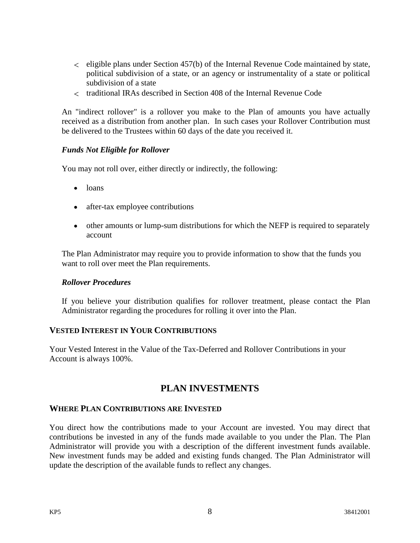- $\epsilon$  eligible plans under Section 457(b) of the Internal Revenue Code maintained by state, political subdivision of a state, or an agency or instrumentality of a state or political subdivision of a state
- traditional IRAs described in Section 408 of the Internal Revenue Code

An "indirect rollover" is a rollover you make to the Plan of amounts you have actually received as a distribution from another plan. In such cases your Rollover Contribution must be delivered to the Trustees within 60 days of the date you received it.

### *Funds Not Eligible for Rollover*

You may not roll over, either directly or indirectly, the following:

- loans
- after-tax employee contributions
- other amounts or lump-sum distributions for which the NEFP is required to separately account

The Plan Administrator may require you to provide information to show that the funds you want to roll over meet the Plan requirements.

### *Rollover Procedures*

If you believe your distribution qualifies for rollover treatment, please contact the Plan Administrator regarding the procedures for rolling it over into the Plan.

### <span id="page-11-0"></span>**VESTED INTEREST IN YOUR CONTRIBUTIONS**

Your Vested Interest in the Value of the Tax-Deferred and Rollover Contributions in your Account is always 100%.

## **PLAN INVESTMENTS**

### <span id="page-11-2"></span><span id="page-11-1"></span>**WHERE PLAN CONTRIBUTIONS ARE INVESTED**

You direct how the contributions made to your Account are invested. You may direct that contributions be invested in any of the funds made available to you under the Plan. The Plan Administrator will provide you with a description of the different investment funds available. New investment funds may be added and existing funds changed. The Plan Administrator will update the description of the available funds to reflect any changes.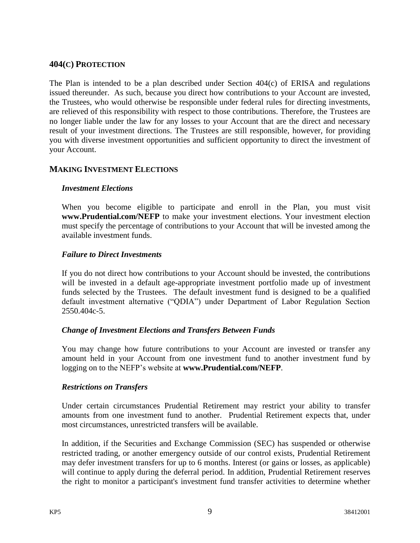### <span id="page-12-0"></span>**404(C) PROTECTION**

The Plan is intended to be a plan described under Section 404(c) of ERISA and regulations issued thereunder. As such, because you direct how contributions to your Account are invested, the Trustees, who would otherwise be responsible under federal rules for directing investments, are relieved of this responsibility with respect to those contributions. Therefore, the Trustees are no longer liable under the law for any losses to your Account that are the direct and necessary result of your investment directions. The Trustees are still responsible, however, for providing you with diverse investment opportunities and sufficient opportunity to direct the investment of your Account.

## <span id="page-12-1"></span>**MAKING INVESTMENT ELECTIONS**

### *Investment Elections*

When you become eligible to participate and enroll in the Plan, you must visit **www.Prudential.com/NEFP** to make your investment elections. Your investment election must specify the percentage of contributions to your Account that will be invested among the available investment funds.

### *Failure to Direct Investments*

If you do not direct how contributions to your Account should be invested, the contributions will be invested in a default age-appropriate investment portfolio made up of investment funds selected by the Trustees. The default investment fund is designed to be a qualified default investment alternative ("QDIA") under Department of Labor Regulation Section 2550.404c-5.

### *Change of Investment Elections and Transfers Between Funds*

You may change how future contributions to your Account are invested or transfer any amount held in your Account from one investment fund to another investment fund by logging on to the NEFP's website at **www.Prudential.com/NEFP**.

### *Restrictions on Transfers*

Under certain circumstances Prudential Retirement may restrict your ability to transfer amounts from one investment fund to another. Prudential Retirement expects that, under most circumstances, unrestricted transfers will be available.

In addition, if the Securities and Exchange Commission (SEC) has suspended or otherwise restricted trading, or another emergency outside of our control exists, Prudential Retirement may defer investment transfers for up to 6 months. Interest (or gains or losses, as applicable) will continue to apply during the deferral period. In addition, Prudential Retirement reserves the right to monitor a participant's investment fund transfer activities to determine whether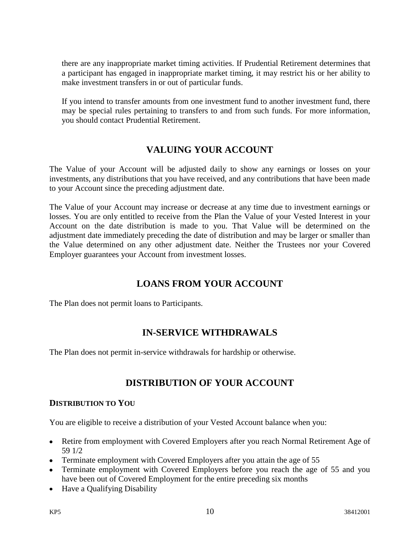there are any inappropriate market timing activities. If Prudential Retirement determines that a participant has engaged in inappropriate market timing, it may restrict his or her ability to make investment transfers in or out of particular funds.

If you intend to transfer amounts from one investment fund to another investment fund, there may be special rules pertaining to transfers to and from such funds. For more information, you should contact Prudential Retirement.

# **VALUING YOUR ACCOUNT**

<span id="page-13-0"></span>The Value of your Account will be adjusted daily to show any earnings or losses on your investments, any distributions that you have received, and any contributions that have been made to your Account since the preceding adjustment date.

The Value of your Account may increase or decrease at any time due to investment earnings or losses. You are only entitled to receive from the Plan the Value of your Vested Interest in your Account on the date distribution is made to you. That Value will be determined on the adjustment date immediately preceding the date of distribution and may be larger or smaller than the Value determined on any other adjustment date. Neither the Trustees nor your Covered Employer guarantees your Account from investment losses.

# **LOANS FROM YOUR ACCOUNT**

<span id="page-13-1"></span>The Plan does not permit loans to Participants.

# **IN-SERVICE WITHDRAWALS**

<span id="page-13-2"></span>The Plan does not permit in-service withdrawals for hardship or otherwise.

# **DISTRIBUTION OF YOUR ACCOUNT**

## <span id="page-13-4"></span><span id="page-13-3"></span>**DISTRIBUTION TO YOU**

You are eligible to receive a distribution of your Vested Account balance when you:

- Retire from employment with Covered Employers after you reach Normal Retirement Age of 59 1/2
- Terminate employment with Covered Employers after you attain the age of 55
- Terminate employment with Covered Employers before you reach the age of 55 and you have been out of Covered Employment for the entire preceding six months
- Have a Qualifying Disability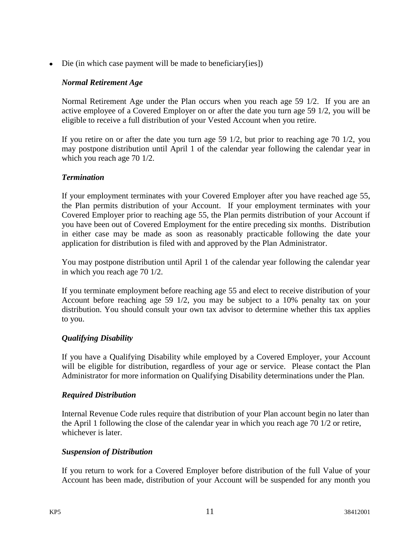Die (in which case payment will be made to beneficiary[ies])

### *Normal Retirement Age*

Normal Retirement Age under the Plan occurs when you reach age 59 1/2. If you are an active employee of a Covered Employer on or after the date you turn age 59 1/2, you will be eligible to receive a full distribution of your Vested Account when you retire.

If you retire on or after the date you turn age 59 1/2, but prior to reaching age 70 1/2, you may postpone distribution until April 1 of the calendar year following the calendar year in which you reach age 70 1/2.

## *Termination*

If your employment terminates with your Covered Employer after you have reached age 55, the Plan permits distribution of your Account. If your employment terminates with your Covered Employer prior to reaching age 55, the Plan permits distribution of your Account if you have been out of Covered Employment for the entire preceding six months. Distribution in either case may be made as soon as reasonably practicable following the date your application for distribution is filed with and approved by the Plan Administrator.

You may postpone distribution until April 1 of the calendar year following the calendar year in which you reach age 70 1/2.

If you terminate employment before reaching age 55 and elect to receive distribution of your Account before reaching age 59 1/2, you may be subject to a 10% penalty tax on your distribution. You should consult your own tax advisor to determine whether this tax applies to you.

## *Qualifying Disability*

If you have a Qualifying Disability while employed by a Covered Employer, your Account will be eligible for distribution, regardless of your age or service. Please contact the Plan Administrator for more information on Qualifying Disability determinations under the Plan.

### *Required Distribution*

Internal Revenue Code rules require that distribution of your Plan account begin no later than the April 1 following the close of the calendar year in which you reach age 70 1/2 or retire, whichever is later.

### *Suspension of Distribution*

If you return to work for a Covered Employer before distribution of the full Value of your Account has been made, distribution of your Account will be suspended for any month you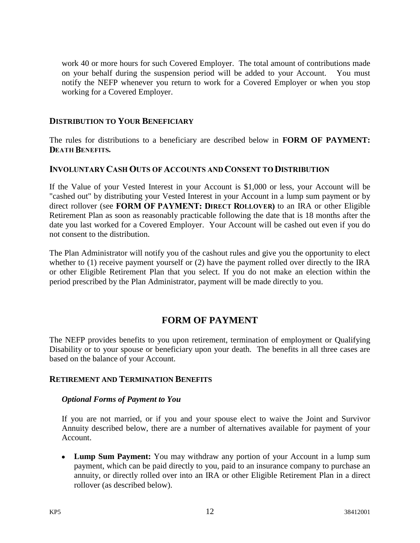work 40 or more hours for such Covered Employer. The total amount of contributions made on your behalf during the suspension period will be added to your Account. You must notify the NEFP whenever you return to work for a Covered Employer or when you stop working for a Covered Employer.

## <span id="page-15-0"></span>**DISTRIBUTION TO YOUR BENEFICIARY**

The rules for distributions to a beneficiary are described below in **FORM OF PAYMENT: DEATH BENEFITS.** 

## <span id="page-15-1"></span>**INVOLUNTARY CASH OUTS OF ACCOUNTS AND CONSENT TO DISTRIBUTION**

If the Value of your Vested Interest in your Account is \$1,000 or less, your Account will be "cashed out" by distributing your Vested Interest in your Account in a lump sum payment or by direct rollover (see FORM OF PAYMENT: DIRECT ROLLOVER) to an IRA or other Eligible Retirement Plan as soon as reasonably practicable following the date that is 18 months after the date you last worked for a Covered Employer. Your Account will be cashed out even if you do not consent to the distribution.

The Plan Administrator will notify you of the cashout rules and give you the opportunity to elect whether to (1) receive payment yourself or (2) have the payment rolled over directly to the IRA or other Eligible Retirement Plan that you select. If you do not make an election within the period prescribed by the Plan Administrator, payment will be made directly to you.

# **FORM OF PAYMENT**

<span id="page-15-2"></span>The NEFP provides benefits to you upon retirement, termination of employment or Qualifying Disability or to your spouse or beneficiary upon your death. The benefits in all three cases are based on the balance of your Account.

### <span id="page-15-3"></span>**RETIREMENT AND TERMINATION BENEFITS**

### *Optional Forms of Payment to You*

If you are not married, or if you and your spouse elect to waive the Joint and Survivor Annuity described below, there are a number of alternatives available for payment of your Account.

**Lump Sum Payment:** You may withdraw any portion of your Account in a lump sum payment, which can be paid directly to you, paid to an insurance company to purchase an annuity, or directly rolled over into an IRA or other Eligible Retirement Plan in a direct rollover (as described below).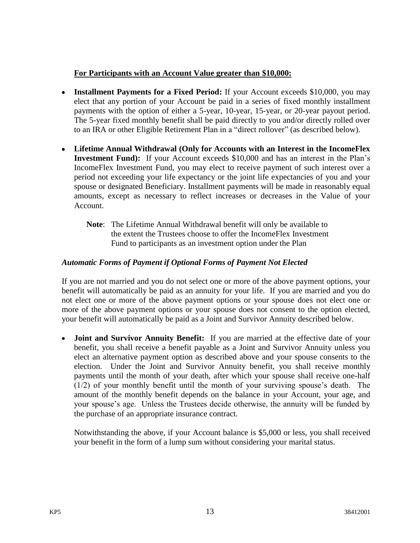## **For Participants with an Account Value greater than \$10,000:**

- **Installment Payments for a Fixed Period:** If your Account exceeds \$10,000, you may elect that any portion of your Account be paid in a series of fixed monthly installment payments with the option of either a 5-year, 10-year, 15-year, or 20-year payout period. The 5-year fixed monthly benefit shall be paid directly to you and/or directly rolled over to an IRA or other Eligible Retirement Plan in a "direct rollover" (as described below).
- **Lifetime Annual Withdrawal (Only for Accounts with an Interest in the IncomeFlex Investment Fund):** If your Account exceeds \$10,000 and has an interest in the Plan's IncomeFlex Investment Fund, you may elect to receive payment of such interest over a period not exceeding your life expectancy or the joint life expectancies of you and your spouse or designated Beneficiary. Installment payments will be made in reasonably equal amounts, except as necessary to reflect increases or decreases in the Value of your Account.
	- **Note**: The Lifetime Annual Withdrawal benefit will only be available to the extent the Trustees choose to offer the IncomeFlex Investment Fund to participants as an investment option under the Plan

## *Automatic Forms of Payment if Optional Forms of Payment Not Elected*

If you are not married and you do not select one or more of the above payment options, your benefit will automatically be paid as an annuity for your life. If you are married and you do not elect one or more of the above payment options or your spouse does not elect one or more of the above payment options or your spouse does not consent to the option elected, your benefit will automatically be paid as a Joint and Survivor Annuity described below.

**Joint and Survivor Annuity Benefit:** If you are married at the effective date of your  $\bullet$ benefit, you shall receive a benefit payable as a Joint and Survivor Annuity unless you elect an alternative payment option as described above and your spouse consents to the election. Under the Joint and Survivor Annuity benefit, you shall receive monthly payments until the month of your death, after which your spouse shall receive one-half (1/2) of your monthly benefit until the month of your surviving spouse's death. The amount of the monthly benefit depends on the balance in your Account, your age, and your spouse's age. Unless the Trustees decide otherwise, the annuity will be funded by the purchase of an appropriate insurance contract.

Notwithstanding the above, if your Account balance is \$5,000 or less, you shall received your benefit in the form of a lump sum without considering your marital status.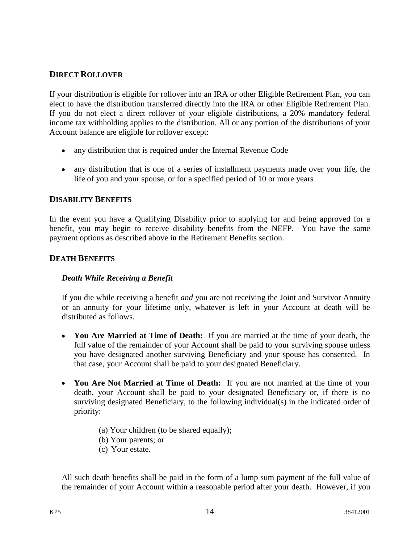## <span id="page-17-0"></span>**DIRECT ROLLOVER**

If your distribution is eligible for rollover into an IRA or other Eligible Retirement Plan, you can elect to have the distribution transferred directly into the IRA or other Eligible Retirement Plan. If you do not elect a direct rollover of your eligible distributions, a 20% mandatory federal income tax withholding applies to the distribution. All or any portion of the distributions of your Account balance are eligible for rollover except:

- any distribution that is required under the Internal Revenue Code
- any distribution that is one of a series of installment payments made over your life, the life of you and your spouse, or for a specified period of 10 or more years

### <span id="page-17-1"></span>**DISABILITY BENEFITS**

In the event you have a Qualifying Disability prior to applying for and being approved for a benefit, you may begin to receive disability benefits from the NEFP. You have the same payment options as described above in the Retirement Benefits section.

### <span id="page-17-2"></span>**DEATH BENEFITS**

### *Death While Receiving a Benefit*

If you die while receiving a benefit *and* you are not receiving the Joint and Survivor Annuity or an annuity for your lifetime only, whatever is left in your Account at death will be distributed as follows.

- **You Are Married at Time of Death:** If you are married at the time of your death, the full value of the remainder of your Account shall be paid to your surviving spouse unless you have designated another surviving Beneficiary and your spouse has consented. In that case, your Account shall be paid to your designated Beneficiary.
- **You Are Not Married at Time of Death:** If you are not married at the time of your death, your Account shall be paid to your designated Beneficiary or, if there is no surviving designated Beneficiary, to the following individual(s) in the indicated order of priority:
	- (a) Your children (to be shared equally);
	- (b) Your parents; or
	- (c) Your estate.

All such death benefits shall be paid in the form of a lump sum payment of the full value of the remainder of your Account within a reasonable period after your death. However, if you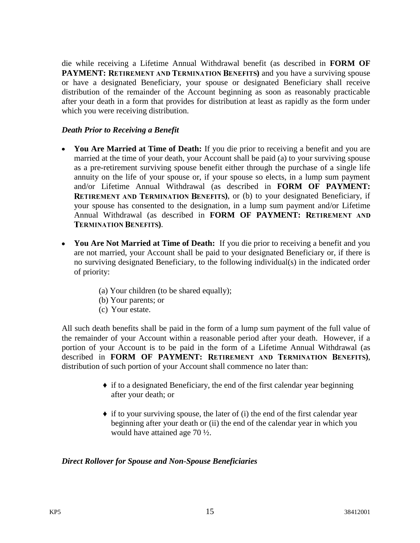die while receiving a Lifetime Annual Withdrawal benefit (as described in **FORM OF PAYMENT:** RETIREMENT AND TERMINATION BENEFITS) and you have a surviving spouse or have a designated Beneficiary, your spouse or designated Beneficiary shall receive distribution of the remainder of the Account beginning as soon as reasonably practicable after your death in a form that provides for distribution at least as rapidly as the form under which you were receiving distribution.

### *Death Prior to Receiving a Benefit*

- **You Are Married at Time of Death:** If you die prior to receiving a benefit and you are married at the time of your death, your Account shall be paid (a) to your surviving spouse as a pre-retirement surviving spouse benefit either through the purchase of a single life annuity on the life of your spouse or, if your spouse so elects, in a lump sum payment and/or Lifetime Annual Withdrawal (as described in **FORM OF PAYMENT: RETIREMENT AND TERMINATION BENEFITS), or (b) to your designated Beneficiary, if** your spouse has consented to the designation, in a lump sum payment and/or Lifetime Annual Withdrawal (as described in **FORM OF PAYMENT: TERMINATION BENEFITS).**
- **You Are Not Married at Time of Death:** If you die prior to receiving a benefit and you are not married, your Account shall be paid to your designated Beneficiary or, if there is no surviving designated Beneficiary, to the following individual(s) in the indicated order of priority:
	- (a) Your children (to be shared equally);
	- (b) Your parents; or
	- (c) Your estate.

All such death benefits shall be paid in the form of a lump sum payment of the full value of the remainder of your Account within a reasonable period after your death. However, if a portion of your Account is to be paid in the form of a Lifetime Annual Withdrawal (as described in **FORM OF PAYMENT:** RETIREMENT AND TERMINATION BENEFITS), distribution of such portion of your Account shall commence no later than:

- $\bullet$  if to a designated Beneficiary, the end of the first calendar year beginning after your death; or
- $\bullet$  if to your surviving spouse, the later of (i) the end of the first calendar year beginning after your death or (ii) the end of the calendar year in which you would have attained age 70 ½.

### *Direct Rollover for Spouse and Non-Spouse Beneficiaries*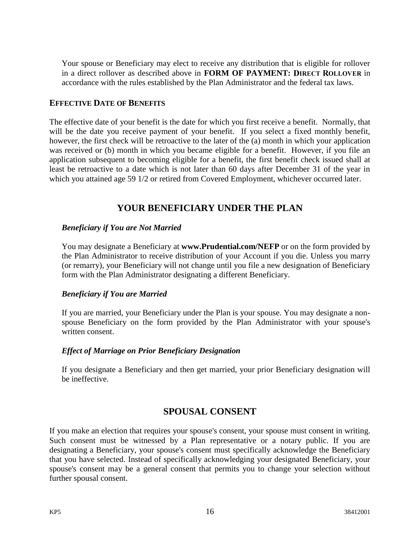Your spouse or Beneficiary may elect to receive any distribution that is eligible for rollover in a direct rollover as described above in **FORM OF PAYMENT:** DIRECT ROLLOVER in accordance with the rules established by the Plan Administrator and the federal tax laws.

### <span id="page-19-0"></span>**EFFECTIVE DATE OF BENEFITS**

The effective date of your benefit is the date for which you first receive a benefit. Normally, that will be the date you receive payment of your benefit. If you select a fixed monthly benefit, however, the first check will be retroactive to the later of the (a) month in which your application was received or (b) month in which you became eligible for a benefit. However, if you file an application subsequent to becoming eligible for a benefit, the first benefit check issued shall at least be retroactive to a date which is not later than 60 days after December 31 of the year in which you attained age 59  $1/2$  or retired from Covered Employment, whichever occurred later.

## **YOUR BENEFICIARY UNDER THE PLAN**

### <span id="page-19-1"></span>*Beneficiary if You are Not Married*

You may designate a Beneficiary at **www.Prudential.com/NEFP** or on the form provided by the Plan Administrator to receive distribution of your Account if you die. Unless you marry (or remarry), your Beneficiary will not change until you file a new designation of Beneficiary form with the Plan Administrator designating a different Beneficiary.

### *Beneficiary if You are Married*

If you are married, your Beneficiary under the Plan is your spouse. You may designate a nonspouse Beneficiary on the form provided by the Plan Administrator with your spouse's written consent.

## *Effect of Marriage on Prior Beneficiary Designation*

<span id="page-19-2"></span>If you designate a Beneficiary and then get married, your prior Beneficiary designation will be ineffective.

## **SPOUSAL CONSENT**

If you make an election that requires your spouse's consent, your spouse must consent in writing. Such consent must be witnessed by a Plan representative or a notary public. If you are designating a Beneficiary, your spouse's consent must specifically acknowledge the Beneficiary that you have selected. Instead of specifically acknowledging your designated Beneficiary, your spouse's consent may be a general consent that permits you to change your selection without further spousal consent.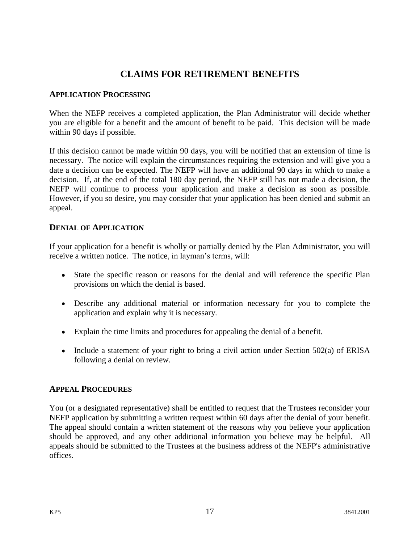# **CLAIMS FOR RETIREMENT BENEFITS**

### <span id="page-20-1"></span><span id="page-20-0"></span>**APPLICATION PROCESSING**

When the NEFP receives a completed application, the Plan Administrator will decide whether you are eligible for a benefit and the amount of benefit to be paid. This decision will be made within 90 days if possible.

If this decision cannot be made within 90 days, you will be notified that an extension of time is necessary. The notice will explain the circumstances requiring the extension and will give you a date a decision can be expected. The NEFP will have an additional 90 days in which to make a decision. If, at the end of the total 180 day period, the NEFP still has not made a decision, the NEFP will continue to process your application and make a decision as soon as possible. However, if you so desire, you may consider that your application has been denied and submit an appeal.

## <span id="page-20-2"></span>**DENIAL OF APPLICATION**

If your application for a benefit is wholly or partially denied by the Plan Administrator, you will receive a written notice. The notice, in layman's terms, will:

- State the specific reason or reasons for the denial and will reference the specific Plan provisions on which the denial is based.
- Describe any additional material or information necessary for you to complete the application and explain why it is necessary.
- Explain the time limits and procedures for appealing the denial of a benefit.
- Include a statement of your right to bring a civil action under Section 502(a) of ERISA following a denial on review.

## <span id="page-20-3"></span>**APPEAL PROCEDURES**

You (or a designated representative) shall be entitled to request that the Trustees reconsider your NEFP application by submitting a written request within 60 days after the denial of your benefit. The appeal should contain a written statement of the reasons why you believe your application should be approved, and any other additional information you believe may be helpful. All appeals should be submitted to the Trustees at the business address of the NEFP's administrative offices.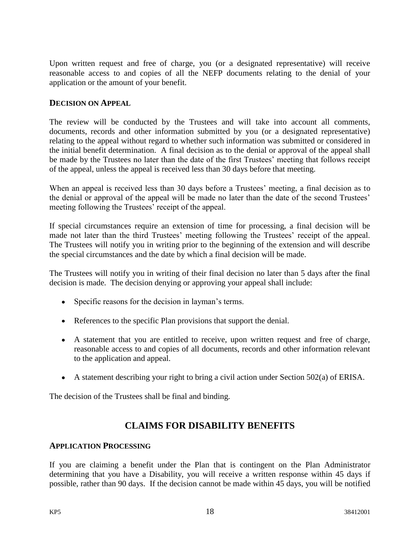Upon written request and free of charge, you (or a designated representative) will receive reasonable access to and copies of all the NEFP documents relating to the denial of your application or the amount of your benefit.

### <span id="page-21-0"></span>**DECISION ON APPEAL**

The review will be conducted by the Trustees and will take into account all comments, documents, records and other information submitted by you (or a designated representative) relating to the appeal without regard to whether such information was submitted or considered in the initial benefit determination.A final decision as to the denial or approval of the appeal shall be made by the Trustees no later than the date of the first Trustees' meeting that follows receipt of the appeal, unless the appeal is received less than 30 days before that meeting.

When an appeal is received less than 30 days before a Trustees' meeting, a final decision as to the denial or approval of the appeal will be made no later than the date of the second Trustees' meeting following the Trustees' receipt of the appeal.

If special circumstances require an extension of time for processing, a final decision will be made not later than the third Trustees' meeting following the Trustees' receipt of the appeal. The Trustees will notify you in writing prior to the beginning of the extension and will describe the special circumstances and the date by which a final decision will be made.

The Trustees will notify you in writing of their final decision no later than 5 days after the final decision is made. The decision denying or approving your appeal shall include:

- Specific reasons for the decision in layman's terms.
- References to the specific Plan provisions that support the denial.
- A statement that you are entitled to receive, upon written request and free of charge, reasonable access to and copies of all documents, records and other information relevant to the application and appeal.
- A statement describing your right to bring a civil action under Section  $502(a)$  of ERISA.

The decision of the Trustees shall be final and binding.

# **CLAIMS FOR DISABILITY BENEFITS**

### <span id="page-21-2"></span><span id="page-21-1"></span>**APPLICATION PROCESSING**

If you are claiming a benefit under the Plan that is contingent on the Plan Administrator determining that you have a Disability, you will receive a written response within 45 days if possible, rather than 90 days. If the decision cannot be made within 45 days, you will be notified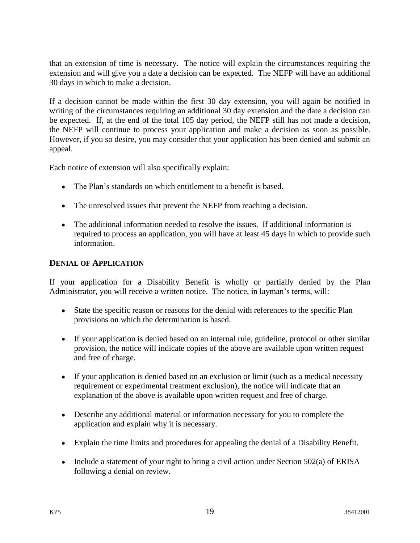that an extension of time is necessary. The notice will explain the circumstances requiring the extension and will give you a date a decision can be expected. The NEFP will have an additional 30 days in which to make a decision.

If a decision cannot be made within the first 30 day extension, you will again be notified in writing of the circumstances requiring an additional 30 day extension and the date a decision can be expected. If, at the end of the total 105 day period, the NEFP still has not made a decision, the NEFP will continue to process your application and make a decision as soon as possible. However, if you so desire, you may consider that your application has been denied and submit an appeal.

Each notice of extension will also specifically explain:

- The Plan's standards on which entitlement to a benefit is based.
- The unresolved issues that prevent the NEFP from reaching a decision.
- The additional information needed to resolve the issues. If additional information is required to process an application, you will have at least 45 days in which to provide such information.

## <span id="page-22-0"></span>**DENIAL OF APPLICATION**

If your application for a Disability Benefit is wholly or partially denied by the Plan Administrator, you will receive a written notice. The notice, in layman's terms, will:

- State the specific reason or reasons for the denial with references to the specific Plan provisions on which the determination is based.
- If your application is denied based on an internal rule, guideline, protocol or other similar provision, the notice will indicate copies of the above are available upon written request and free of charge.
- If your application is denied based on an exclusion or limit (such as a medical necessity requirement or experimental treatment exclusion), the notice will indicate that an explanation of the above is available upon written request and free of charge.
- Describe any additional material or information necessary for you to complete the application and explain why it is necessary.
- Explain the time limits and procedures for appealing the denial of a Disability Benefit.
- Include a statement of your right to bring a civil action under Section  $502(a)$  of ERISA following a denial on review.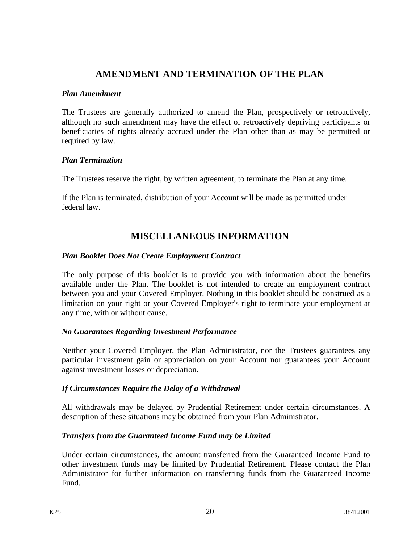## **AMENDMENT AND TERMINATION OF THE PLAN**

### <span id="page-23-0"></span>*Plan Amendment*

The Trustees are generally authorized to amend the Plan, prospectively or retroactively, although no such amendment may have the effect of retroactively depriving participants or beneficiaries of rights already accrued under the Plan other than as may be permitted or required by law.

### *Plan Termination*

The Trustees reserve the right, by written agreement, to terminate the Plan at any time.

If the Plan is terminated, distribution of your Account will be made as permitted under federal law.

# **MISCELLANEOUS INFORMATION**

### <span id="page-23-1"></span>*Plan Booklet Does Not Create Employment Contract*

The only purpose of this booklet is to provide you with information about the benefits available under the Plan. The booklet is not intended to create an employment contract between you and your Covered Employer. Nothing in this booklet should be construed as a limitation on your right or your Covered Employer's right to terminate your employment at any time, with or without cause.

### *No Guarantees Regarding Investment Performance*

Neither your Covered Employer, the Plan Administrator, nor the Trustees guarantees any particular investment gain or appreciation on your Account nor guarantees your Account against investment losses or depreciation.

### *If Circumstances Require the Delay of a Withdrawal*

All withdrawals may be delayed by Prudential Retirement under certain circumstances. A description of these situations may be obtained from your Plan Administrator.

### *Transfers from the Guaranteed Income Fund may be Limited*

Under certain circumstances, the amount transferred from the Guaranteed Income Fund to other investment funds may be limited by Prudential Retirement. Please contact the Plan Administrator for further information on transferring funds from the Guaranteed Income Fund.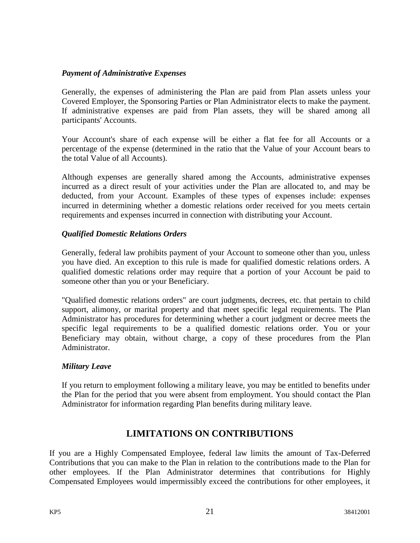## *Payment of Administrative Expenses*

Generally, the expenses of administering the Plan are paid from Plan assets unless your Covered Employer, the Sponsoring Parties or Plan Administrator elects to make the payment. If administrative expenses are paid from Plan assets, they will be shared among all participants' Accounts.

Your Account's share of each expense will be either a flat fee for all Accounts or a percentage of the expense (determined in the ratio that the Value of your Account bears to the total Value of all Accounts).

Although expenses are generally shared among the Accounts, administrative expenses incurred as a direct result of your activities under the Plan are allocated to, and may be deducted, from your Account. Examples of these types of expenses include: expenses incurred in determining whether a domestic relations order received for you meets certain requirements and expenses incurred in connection with distributing your Account.

## *Qualified Domestic Relations Orders*

Generally, federal law prohibits payment of your Account to someone other than you, unless you have died. An exception to this rule is made for qualified domestic relations orders. A qualified domestic relations order may require that a portion of your Account be paid to someone other than you or your Beneficiary.

"Qualified domestic relations orders" are court judgments, decrees, etc. that pertain to child support, alimony, or marital property and that meet specific legal requirements. The Plan Administrator has procedures for determining whether a court judgment or decree meets the specific legal requirements to be a qualified domestic relations order. You or your Beneficiary may obtain, without charge, a copy of these procedures from the Plan Administrator.

### *Military Leave*

If you return to employment following a military leave, you may be entitled to benefits under the Plan for the period that you were absent from employment. You should contact the Plan Administrator for information regarding Plan benefits during military leave.

# **LIMITATIONS ON CONTRIBUTIONS**

<span id="page-24-0"></span>If you are a Highly Compensated Employee, federal law limits the amount of Tax-Deferred Contributions that you can make to the Plan in relation to the contributions made to the Plan for other employees. If the Plan Administrator determines that contributions for Highly Compensated Employees would impermissibly exceed the contributions for other employees, it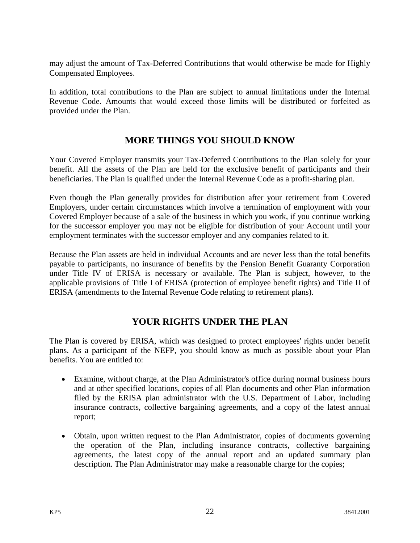may adjust the amount of Tax-Deferred Contributions that would otherwise be made for Highly Compensated Employees.

In addition, total contributions to the Plan are subject to annual limitations under the Internal Revenue Code. Amounts that would exceed those limits will be distributed or forfeited as provided under the Plan.

# **MORE THINGS YOU SHOULD KNOW**

<span id="page-25-0"></span>Your Covered Employer transmits your Tax-Deferred Contributions to the Plan solely for your benefit. All the assets of the Plan are held for the exclusive benefit of participants and their beneficiaries. The Plan is qualified under the Internal Revenue Code as a profit-sharing plan.

Even though the Plan generally provides for distribution after your retirement from Covered Employers, under certain circumstances which involve a termination of employment with your Covered Employer because of a sale of the business in which you work, if you continue working for the successor employer you may not be eligible for distribution of your Account until your employment terminates with the successor employer and any companies related to it.

Because the Plan assets are held in individual Accounts and are never less than the total benefits payable to participants, no insurance of benefits by the Pension Benefit Guaranty Corporation under Title IV of ERISA is necessary or available. The Plan is subject, however, to the applicable provisions of Title I of ERISA (protection of employee benefit rights) and Title II of ERISA (amendments to the Internal Revenue Code relating to retirement plans).

# **YOUR RIGHTS UNDER THE PLAN**

<span id="page-25-1"></span>The Plan is covered by ERISA, which was designed to protect employees' rights under benefit plans. As a participant of the NEFP, you should know as much as possible about your Plan benefits. You are entitled to:

- Examine, without charge, at the Plan Administrator's office during normal business hours and at other specified locations, copies of all Plan documents and other Plan information filed by the ERISA plan administrator with the U.S. Department of Labor, including insurance contracts, collective bargaining agreements, and a copy of the latest annual report;
- Obtain, upon written request to the Plan Administrator, copies of documents governing the operation of the Plan, including insurance contracts, collective bargaining agreements, the latest copy of the annual report and an updated summary plan description. The Plan Administrator may make a reasonable charge for the copies;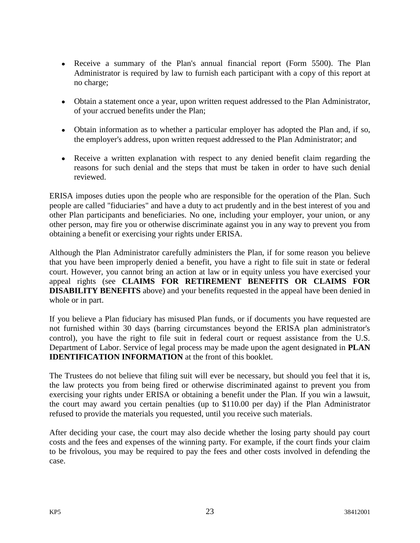- Receive a summary of the Plan's annual financial report (Form 5500). The Plan Administrator is required by law to furnish each participant with a copy of this report at no charge;
- Obtain a statement once a year, upon written request addressed to the Plan Administrator, of your accrued benefits under the Plan;
- Obtain information as to whether a particular employer has adopted the Plan and, if so, the employer's address, upon written request addressed to the Plan Administrator; and
- Receive a written explanation with respect to any denied benefit claim regarding the reasons for such denial and the steps that must be taken in order to have such denial reviewed.

ERISA imposes duties upon the people who are responsible for the operation of the Plan. Such people are called "fiduciaries" and have a duty to act prudently and in the best interest of you and other Plan participants and beneficiaries. No one, including your employer, your union, or any other person, may fire you or otherwise discriminate against you in any way to prevent you from obtaining a benefit or exercising your rights under ERISA.

Although the Plan Administrator carefully administers the Plan, if for some reason you believe that you have been improperly denied a benefit, you have a right to file suit in state or federal court. However, you cannot bring an action at law or in equity unless you have exercised your appeal rights (see **CLAIMS FOR RETIREMENT BENEFITS OR CLAIMS FOR DISABILITY BENEFITS** above) and your benefits requested in the appeal have been denied in whole or in part.

If you believe a Plan fiduciary has misused Plan funds, or if documents you have requested are not furnished within 30 days (barring circumstances beyond the ERISA plan administrator's control), you have the right to file suit in federal court or request assistance from the U.S. Department of Labor. Service of legal process may be made upon the agent designated in **PLAN IDENTIFICATION INFORMATION** at the front of this booklet.

The Trustees do not believe that filing suit will ever be necessary, but should you feel that it is, the law protects you from being fired or otherwise discriminated against to prevent you from exercising your rights under ERISA or obtaining a benefit under the Plan. If you win a lawsuit, the court may award you certain penalties (up to \$110.00 per day) if the Plan Administrator refused to provide the materials you requested, until you receive such materials.

After deciding your case, the court may also decide whether the losing party should pay court costs and the fees and expenses of the winning party. For example, if the court finds your claim to be frivolous, you may be required to pay the fees and other costs involved in defending the case.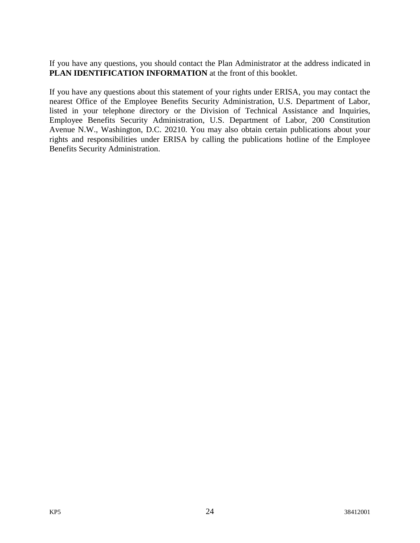If you have any questions, you should contact the Plan Administrator at the address indicated in **PLAN IDENTIFICATION INFORMATION** at the front of this booklet.

If you have any questions about this statement of your rights under ERISA, you may contact the nearest Office of the Employee Benefits Security Administration, U.S. Department of Labor, listed in your telephone directory or the Division of Technical Assistance and Inquiries, Employee Benefits Security Administration, U.S. Department of Labor, 200 Constitution Avenue N.W., Washington, D.C. 20210. You may also obtain certain publications about your rights and responsibilities under ERISA by calling the publications hotline of the Employee Benefits Security Administration.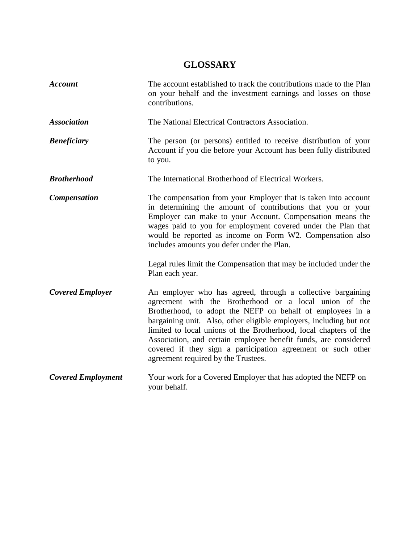# **GLOSSARY**

<span id="page-28-0"></span>

| <b>Account</b>            | The account established to track the contributions made to the Plan<br>on your behalf and the investment earnings and losses on those<br>contributions.                                                                                                                                                                                                                                                                                                                                                  |
|---------------------------|----------------------------------------------------------------------------------------------------------------------------------------------------------------------------------------------------------------------------------------------------------------------------------------------------------------------------------------------------------------------------------------------------------------------------------------------------------------------------------------------------------|
| <b>Association</b>        | The National Electrical Contractors Association.                                                                                                                                                                                                                                                                                                                                                                                                                                                         |
| <b>Beneficiary</b>        | The person (or persons) entitled to receive distribution of your<br>Account if you die before your Account has been fully distributed<br>to you.                                                                                                                                                                                                                                                                                                                                                         |
| <b>Brotherhood</b>        | The International Brotherhood of Electrical Workers.                                                                                                                                                                                                                                                                                                                                                                                                                                                     |
| <b>Compensation</b>       | The compensation from your Employer that is taken into account<br>in determining the amount of contributions that you or your<br>Employer can make to your Account. Compensation means the<br>wages paid to you for employment covered under the Plan that<br>would be reported as income on Form W2. Compensation also<br>includes amounts you defer under the Plan.                                                                                                                                    |
|                           | Legal rules limit the Compensation that may be included under the<br>Plan each year.                                                                                                                                                                                                                                                                                                                                                                                                                     |
| <b>Covered Employer</b>   | An employer who has agreed, through a collective bargaining<br>agreement with the Brotherhood or a local union of the<br>Brotherhood, to adopt the NEFP on behalf of employees in a<br>bargaining unit. Also, other eligible employers, including but not<br>limited to local unions of the Brotherhood, local chapters of the<br>Association, and certain employee benefit funds, are considered<br>covered if they sign a participation agreement or such other<br>agreement required by the Trustees. |
| <b>Covered Employment</b> | Your work for a Covered Employer that has adopted the NEFP on<br>your behalf.                                                                                                                                                                                                                                                                                                                                                                                                                            |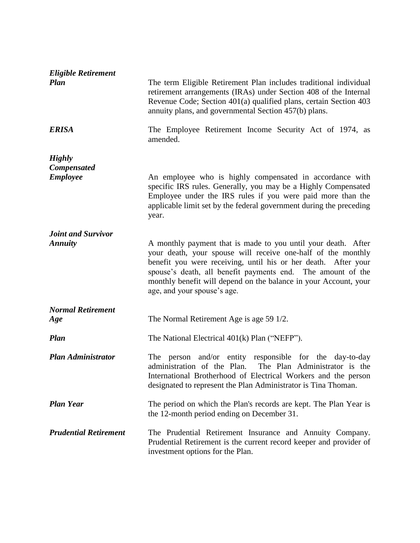| <b>Eligible Retirement</b><br><b>Plan</b><br><b>ERISA</b> | The term Eligible Retirement Plan includes traditional individual<br>retirement arrangements (IRAs) under Section 408 of the Internal<br>Revenue Code; Section 401(a) qualified plans, certain Section 403<br>annuity plans, and governmental Section 457(b) plans.<br>The Employee Retirement Income Security Act of 1974, as |
|-----------------------------------------------------------|--------------------------------------------------------------------------------------------------------------------------------------------------------------------------------------------------------------------------------------------------------------------------------------------------------------------------------|
|                                                           | amended.                                                                                                                                                                                                                                                                                                                       |
| <b>Highly</b><br><b>Compensated</b><br><b>Employee</b>    | An employee who is highly compensated in accordance with<br>specific IRS rules. Generally, you may be a Highly Compensated<br>Employee under the IRS rules if you were paid more than the<br>applicable limit set by the federal government during the preceding<br>year.                                                      |
| <b>Joint and Survivor</b><br><b>Annuity</b>               | A monthly payment that is made to you until your death. After<br>your death, your spouse will receive one-half of the monthly<br>benefit you were receiving, until his or her death. After your                                                                                                                                |
|                                                           | spouse's death, all benefit payments end. The amount of the<br>monthly benefit will depend on the balance in your Account, your<br>age, and your spouse's age.                                                                                                                                                                 |
| <b>Normal Retirement</b><br>Age                           | The Normal Retirement Age is age 59 1/2.                                                                                                                                                                                                                                                                                       |
| <b>Plan</b>                                               | The National Electrical 401(k) Plan ("NEFP").                                                                                                                                                                                                                                                                                  |
| <b>Plan Administrator</b>                                 | The person and/or entity responsible for the day-to-day<br>administration of the Plan.<br>The Plan Administrator is the<br>International Brotherhood of Electrical Workers and the person<br>designated to represent the Plan Administrator is Tina Thoman.                                                                    |
| <b>Plan Year</b>                                          | The period on which the Plan's records are kept. The Plan Year is<br>the 12-month period ending on December 31.                                                                                                                                                                                                                |
| <b>Prudential Retirement</b>                              | The Prudential Retirement Insurance and Annuity Company.<br>Prudential Retirement is the current record keeper and provider of<br>investment options for the Plan.                                                                                                                                                             |